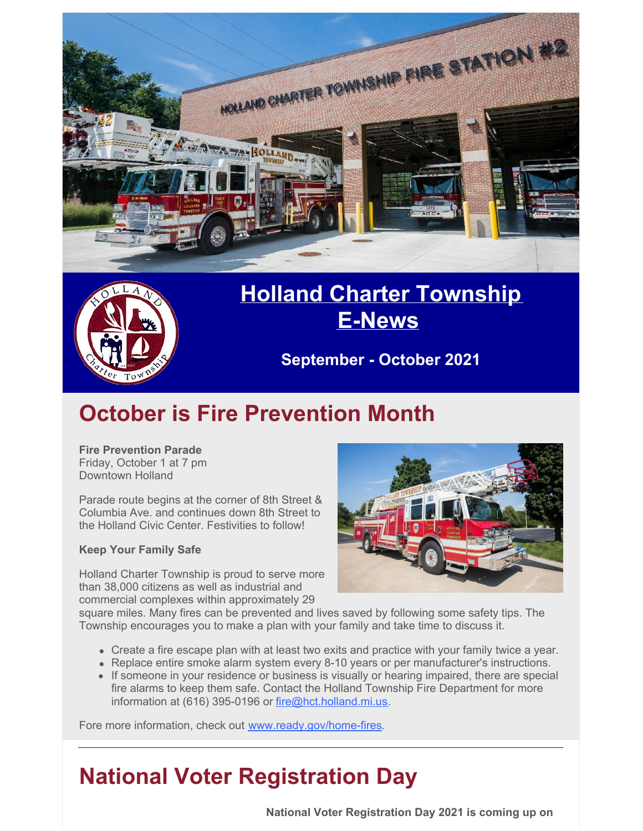



### **Holland Charter [Township](http://www.hct.holland.mi.us/) [E-News](http://www.hct.holland.mi.us/)**

**September - October 2021**

## **October is Fire Prevention Month**

**Fire Prevention Parade** Friday, October 1 at 7 pm Downtown Holland

Parade route begins at the corner of 8th Street & Columbia Ave. and continues down 8th Street to the Holland Civic Center. Festivities to follow!

#### **Keep Your Family Safe**

Holland Charter Township is proud to serve more than 38,000 citizens as well as industrial and commercial complexes within approximately 29



square miles. Many fires can be prevented and lives saved by following some safety tips. The Township encourages you to make a plan with your family and take time to discuss it.

- Create a fire escape plan with at least two exits and practice with your family twice a year.
- Replace entire smoke alarm system every 8-10 years or per manufacturer's instructions.
- If someone in your residence or business is visually or hearing impaired, there are special fire alarms to keep them safe. Contact the Holland Township Fire Department for more information at (616) 395-0196 or [fire@hct.holland.mi.us](mailto:fire@hct.holland.mi.us).

Fore more information, check out [www.ready.gov/home-fires](http://www.ready.gov/home-fires).

## **National Voter Registration Day**

**National Voter Registration Day 2021 is coming up on**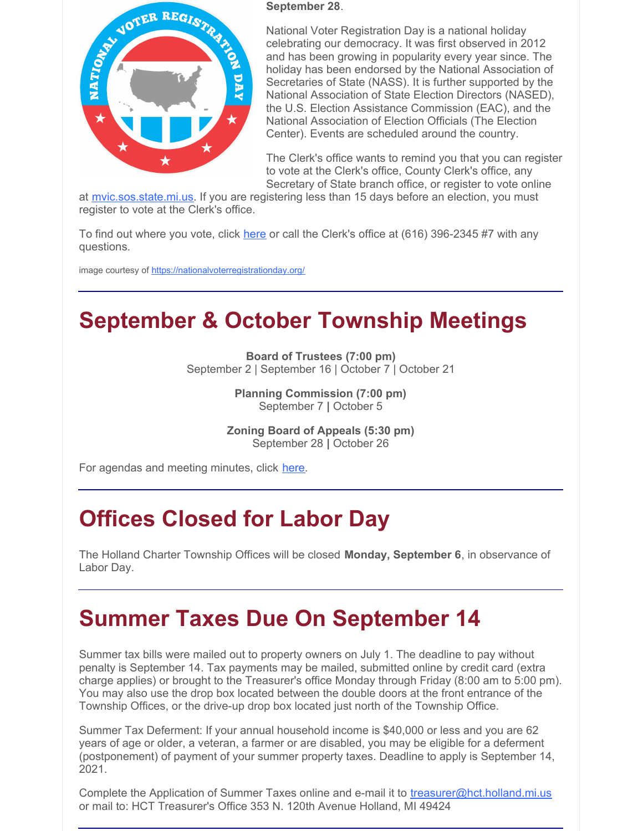

#### **September 28**.

National Voter Registration Day is a national holiday celebrating our democracy. It was first observed in 2012 and has been growing in popularity every year since. The holiday has been endorsed by the National Association of Secretaries of State (NASS). It is further supported by the National Association of State Election Directors (NASED), the U.S. Election Assistance Commission (EAC), and the National Association of Election Officials (The Election Center). Events are scheduled around the country.

The Clerk's office wants to remind you that you can register to vote at the Clerk's office, County Clerk's office, any Secretary of State branch office, or register to vote online

at [mvic.sos.state.mi.us](https://mvic.sos.state.mi.us/). If you are registering less than 15 days before an election, you must register to vote at the Clerk's office.

To find out w[here](https://mvic.sos.state.mi.us/) you vote, click here or call the Clerk's office at (616) 396-2345 #7 with any questions.

image courtesy of <https://nationalvoterregistrationday.org/>

### **September & October Township Meetings**

**Board of Trustees (7:00 pm)** September 2 | September 16 | October 7 | October 21

> **Planning Commission (7:00 pm)** September 7 **|** October 5

**Zoning Board of Appeals (5:30 pm)** September 28 **|** October 26

For agendas and meeting minutes, click [here](https://www.hct.holland.mi.us/agendas-minutes).

## **Offices Closed for Labor Day**

The Holland Charter Township Offices will be closed **Monday, September 6**, in observance of Labor Day.

### **Summer Taxes Due On September 14**

Summer tax bills were mailed out to property owners on July 1. The deadline to pay without penalty is September 14. Tax payments may be mailed, submitted online by credit card (extra charge applies) or brought to the Treasurer's office Monday through Friday (8:00 am to 5:00 pm). You may also use the drop box located between the double doors at the front entrance of the Township Offices, or the drive-up drop box located just north of the Township Office.

Summer Tax Deferment: If your annual household income is \$40,000 or less and you are 62 years of age or older, a veteran, a farmer or are disabled, you may be eligible for a deferment (postponement) of payment of your summer property taxes. Deadline to apply is September 14, 2021.

Complete the Application of Summer Taxes online and e-mail it to [treasurer@hct.holland.mi.us](mailto:Treasurer@hct.holland.mi.us) or mail to: HCT Treasurer's Office 353 N. 120th Avenue Holland, MI 49424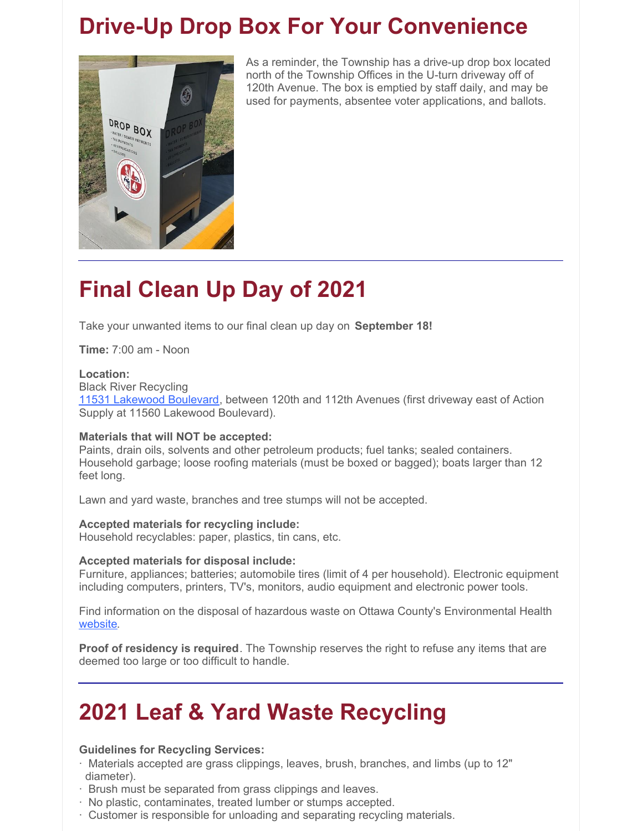### **Drive-Up Drop Box For Your Convenience**



As a reminder, the Township has a drive-up drop box located north of the Township Offices in the U-turn driveway off of 120th Avenue. The box is emptied by staff daily, and may be used for payments, absentee voter applications, and ballots.

# **Final Clean Up Day of 2021**

Take your unwanted items to our final clean up day on **September 18!**

**Time:** 7:00 am - Noon

#### **Location:**

Black River Recycling

11531 [Lakewood](https://goo.gl/maps/sVKkwpL1B9Thbtgh6) Boulevard, between 120th and 112th Avenues (first driveway east of Action Supply at 11560 Lakewood Boulevard).

#### **Materials that will NOT be accepted:**

Paints, drain oils, solvents and other petroleum products; fuel tanks; sealed containers. Household garbage; loose roofing materials (must be boxed or bagged); boats larger than 12 feet long.

Lawn and yard waste, branches and tree stumps will not be accepted.

#### **Accepted materials for recycling include:**

Household recyclables: paper, plastics, tin cans, etc.

#### **Accepted materials for disposal include:**

Furniture, appliances; batteries; automobile tires (limit of 4 per household). Electronic equipment including computers, printers, TV's, monitors, audio equipment and electronic power tools.

Find information on the disposal of hazardous waste on Ottawa County's Environmental Health [website](https://www.miottawa.org/Health/OCHD/eco.htm).

**Proof of residency is required**. The Township reserves the right to refuse any items that are deemed too large or too difficult to handle.

### **2021 Leaf & Yard Waste Recycling**

#### **Guidelines for Recycling Services:**

- · Materials accepted are grass clippings, leaves, brush, branches, and limbs (up to 12" diameter).
- · Brush must be separated from grass clippings and leaves.
- · No plastic, contaminates, treated lumber or stumps accepted.
- · Customer is responsible for unloading and separating recycling materials.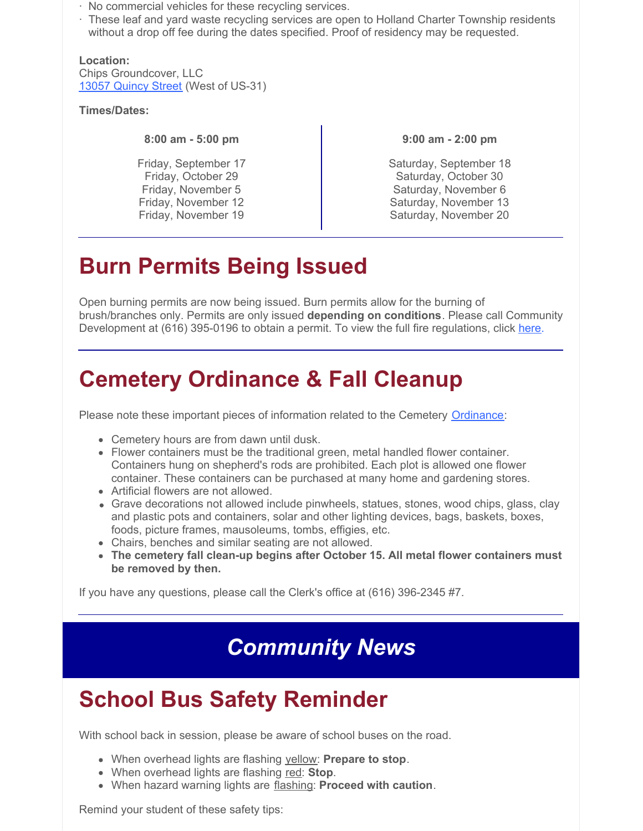- · No commercial vehicles for these recycling services.
- · These leaf and yard waste recycling services are open to Holland Charter Township residents without a drop off fee during the dates specified. Proof of residency may be requested.

**Location:** Chips Groundcover, LLC 13057 [Quincy](https://goo.gl/maps/GzuMexp8JEsLTvWk7) Street (West of US-31)

**Times/Dates:**

**8:00 am - 5:00 pm**

Friday, September 17 Friday, October 29 Friday, November 5 Friday, November 12 Friday, November 19

**9:00 am - 2:00 pm**

Saturday, September 18 Saturday, October 30 Saturday, November 6 Saturday, November 13 Saturday, November 20

## **Burn Permits Being Issued**

Open burning permits are now being issued. Burn permits allow for the burning of brush/branches only. Permits are only issued **depending on conditions**. Please call Community Development at (616) 395-0196 to obtain a permit. To view the full fire regulations, click [here](https://library.municode.com/mi/holland_charter_township,_(ottawa_co.)/codes/code_of_ordinances?nodeId=COOR_CH10FIPRPR_ARTIIBUPEFIPR_S10-33BUPE).

## **Cemetery Ordinance & Fall Cleanup**

Please note these important pieces of information related to the Cemetery [Ordinance](https://library.municode.com/mi/holland_charter_township,_(ottawa_co.)/codes/code_of_ordinances?nodeId=COOR_CH8CE):

- Cemetery hours are from dawn until dusk.
- Flower containers must be the traditional green, metal handled flower container. Containers hung on shepherd's rods are prohibited. Each plot is allowed one flower container. These containers can be purchased at many home and gardening stores.
- Artificial flowers are not allowed.
- Grave decorations not allowed include pinwheels, statues, stones, wood chips, glass, clay and plastic pots and containers, solar and other lighting devices, bags, baskets, boxes, foods, picture frames, mausoleums, tombs, effigies, etc.
- Chairs, benches and similar seating are not allowed.
- **The cemetery fall clean-up begins after October 15. All metal flower containers must be removed by then.**

If you have any questions, please call the Clerk's office at (616) 396-2345 #7.

## *Community News*

## **School Bus Safety Reminder**

With school back in session, please be aware of school buses on the road.

- When overhead lights are flashing yellow: **Prepare to stop**.
- When overhead lights are flashing red: **Stop**.
- When hazard warning lights are flashing: **Proceed with caution**.

Remind your student of these safety tips: